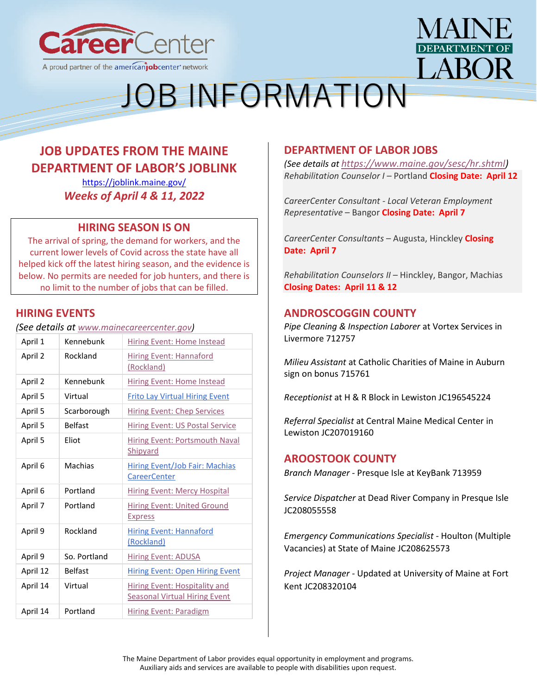



# JOB INFORMATION

# **JOB UPDATES FROM THE MAINE DEPARTMENT OF LABOR'S JOBLINK**

<https://joblink.maine.gov/> *Weeks of April 4 & 11, 2022*

## **HIRING SEASON IS ON**

The arrival of spring, the demand for workers, and the current lower levels of Covid across the state have all helped kick off the latest hiring season, and the evidence is below. No permits are needed for job hunters, and there is no limit to the number of jobs that can be filled.

# **HIRING EVENTS**

*(See details at [www.mainecareercenter.gov\)](http://www.mainecareercenter.gov/)*

| April 1  | Kennebunk      | <b>Hiring Event: Home Instead</b>                                            |
|----------|----------------|------------------------------------------------------------------------------|
| April 2  | Rockland       | <b>Hiring Event: Hannaford</b><br>(Rockland)                                 |
| April 2  | Kennebunk      | Hiring Event: Home Instead                                                   |
| April 5  | Virtual        | <b>Frito Lay Virtual Hiring Event</b>                                        |
| April 5  | Scarborough    | <b>Hiring Event: Chep Services</b>                                           |
| April 5  | <b>Belfast</b> | <b>Hiring Event: US Postal Service</b>                                       |
| April 5  | Eliot          | Hiring Event: Portsmouth Naval<br>Shipyard                                   |
| April 6  | Machias        | <b>Hiring Event/Job Fair: Machias</b><br><b>CareerCenter</b>                 |
| April 6  | Portland       | <b>Hiring Event: Mercy Hospital</b>                                          |
| April 7  | Portland       | <b>Hiring Event: United Ground</b><br><b>Express</b>                         |
| April 9  | Rockland       | <b>Hiring Event: Hannaford</b><br>(Rockland)                                 |
| April 9  | So. Portland   | <b>Hiring Event: ADUSA</b>                                                   |
| April 12 | <b>Belfast</b> | <b>Hiring Event: Open Hiring Event</b>                                       |
| April 14 | Virtual        | <b>Hiring Event: Hospitality and</b><br><b>Seasonal Virtual Hiring Event</b> |
| April 14 | Portland       | <b>Hiring Event: Paradigm</b>                                                |

# **DEPARTMENT OF LABOR JOBS**

*(See details at [https://www.maine.gov/sesc/hr.shtml\)](https://www.maine.gov/sesc/hr.shtml) Rehabilitation Counselor I* – Portland **Closing Date: April 12**

*CareerCenter Consultant - Local Veteran Employment Representative* – Bangor **Closing Date: April 7**

*CareerCenter Consultants* – Augusta, Hinckley **Closing Date: April 7**

*Rehabilitation Counselors II* – Hinckley, Bangor, Machias **Closing Dates: April 11 & 12**

# **ANDROSCOGGIN COUNTY**

*[Pipe Cleaning & Inspection Laborer](https://joblink.maine.gov/jobs/712757)* at Vortex Services in Livermore 712757

*[Milieu Assistant](https://joblink.maine.gov/jobs/715761)* at Catholic Charities of Maine in Auburn sign on bonus 715761

*[Receptionist](https://joblink.maine.gov/jobs/633112)* at H & R Block in Lewiston JC196545224

*[Referral Specialist](https://joblink.maine.gov/jobs/705099)* at Central Maine Medical Center in Lewiston JC207019160

## **AROOSTOOK COUNTY**

*[Branch Manager](https://gcc02.safelinks.protection.outlook.com/?url=https%3A%2F%2Fjoblink.maine.gov%2Fjobs%2F713959&data=04%7C01%7CDavid.M.Grima%40maine.gov%7C3f8d4548193d447632fa08da10c18da8%7C413fa8ab207d4b629bcdea1a8f2f864e%7C0%7C0%7C637840720747517547%7CUnknown%7CTWFpbGZsb3d8eyJWIjoiMC4wLjAwMDAiLCJQIjoiV2luMzIiLCJBTiI6Ik1haWwiLCJXVCI6Mn0%3D%7C3000&sdata=f5CZ0VSfB%2FmvUkm8yqOQp7js3slWObsJgI14P%2FE%2Bv8M%3D&reserved=0)* - Presque Isle at [KeyBank](https://gcc02.safelinks.protection.outlook.com/?url=https%3A%2F%2Fjoblink.maine.gov%2Femployers%2F16398&data=04%7C01%7CDavid.M.Grima%40maine.gov%7C3f8d4548193d447632fa08da10c18da8%7C413fa8ab207d4b629bcdea1a8f2f864e%7C0%7C0%7C637840720747517547%7CUnknown%7CTWFpbGZsb3d8eyJWIjoiMC4wLjAwMDAiLCJQIjoiV2luMzIiLCJBTiI6Ik1haWwiLCJXVCI6Mn0%3D%7C3000&sdata=AZraSvn4nS%2Fdw7BChhlmxlJc%2FPvQXHldXc83Uifj3Tg%3D&reserved=0) 713959

*[Service Dispatcher](https://gcc02.safelinks.protection.outlook.com/?url=https%3A%2F%2Fjoblink.maine.gov%2Fjobs%2F711469&data=04%7C01%7CDavid.M.Grima%40maine.gov%7C3f8d4548193d447632fa08da10c18da8%7C413fa8ab207d4b629bcdea1a8f2f864e%7C0%7C0%7C637840720747517547%7CUnknown%7CTWFpbGZsb3d8eyJWIjoiMC4wLjAwMDAiLCJQIjoiV2luMzIiLCJBTiI6Ik1haWwiLCJXVCI6Mn0%3D%7C3000&sdata=KLRYflwakMlKabMzByqGZUOtPRgXVXHwXUOWQBacaaQ%3D&reserved=0)* at [Dead River Company](https://gcc02.safelinks.protection.outlook.com/?url=https%3A%2F%2Fjoblink.maine.gov%2Femployers%2F11201&data=04%7C01%7CDavid.M.Grima%40maine.gov%7C3f8d4548193d447632fa08da10c18da8%7C413fa8ab207d4b629bcdea1a8f2f864e%7C0%7C0%7C637840720747517547%7CUnknown%7CTWFpbGZsb3d8eyJWIjoiMC4wLjAwMDAiLCJQIjoiV2luMzIiLCJBTiI6Ik1haWwiLCJXVCI6Mn0%3D%7C3000&sdata=hti0Mpf%2Fyz4pUI7NpJNAep%2FtYzUMBLqt0COhVynXmnM%3D&reserved=0) in Presque Isle JC208055558

*[Emergency Communications Specialist](https://gcc02.safelinks.protection.outlook.com/?url=https%3A%2F%2Fjoblink.maine.gov%2Fjobs%2F715280&data=04%7C01%7CDavid.M.Grima%40maine.gov%7C3f8d4548193d447632fa08da10c18da8%7C413fa8ab207d4b629bcdea1a8f2f864e%7C0%7C0%7C637840720747517547%7CUnknown%7CTWFpbGZsb3d8eyJWIjoiMC4wLjAwMDAiLCJQIjoiV2luMzIiLCJBTiI6Ik1haWwiLCJXVCI6Mn0%3D%7C3000&sdata=BUVJyTMrFNB4io7ZXroeCqjRtfix3EFeJJdqMJeRz3A%3D&reserved=0)* - Houlton (Multiple [Vacan](https://gcc02.safelinks.protection.outlook.com/?url=https%3A%2F%2Fjoblink.maine.gov%2Fjobs%2F715280&data=04%7C01%7CDavid.M.Grima%40maine.gov%7C3f8d4548193d447632fa08da10c18da8%7C413fa8ab207d4b629bcdea1a8f2f864e%7C0%7C0%7C637840720747517547%7CUnknown%7CTWFpbGZsb3d8eyJWIjoiMC4wLjAwMDAiLCJQIjoiV2luMzIiLCJBTiI6Ik1haWwiLCJXVCI6Mn0%3D%7C3000&sdata=BUVJyTMrFNB4io7ZXroeCqjRtfix3EFeJJdqMJeRz3A%3D&reserved=0)cies) at [State of Maine](https://gcc02.safelinks.protection.outlook.com/?url=https%3A%2F%2Fjoblink.maine.gov%2Femployers%2F15792&data=04%7C01%7CDavid.M.Grima%40maine.gov%7C3f8d4548193d447632fa08da10c18da8%7C413fa8ab207d4b629bcdea1a8f2f864e%7C0%7C0%7C637840720747517547%7CUnknown%7CTWFpbGZsb3d8eyJWIjoiMC4wLjAwMDAiLCJQIjoiV2luMzIiLCJBTiI6Ik1haWwiLCJXVCI6Mn0%3D%7C3000&sdata=XeOUXx3pvg7TF7mEVDvMzGSz0KqT1rBDYBII%2BwLp%2Fwo%3D&reserved=0) JC208625573

*[Project Manager](https://gcc02.safelinks.protection.outlook.com/?url=https%3A%2F%2Fjoblink.maine.gov%2Fjobs%2F713558&data=04%7C01%7CDavid.M.Grima%40maine.gov%7C3f8d4548193d447632fa08da10c18da8%7C413fa8ab207d4b629bcdea1a8f2f864e%7C0%7C0%7C637840720747517547%7CUnknown%7CTWFpbGZsb3d8eyJWIjoiMC4wLjAwMDAiLCJQIjoiV2luMzIiLCJBTiI6Ik1haWwiLCJXVCI6Mn0%3D%7C3000&sdata=OtXWjLD4sqmIuWEHqr1u0nEgBqRhp%2BG1Fu5wVHLyXWI%3D&reserved=0)* - Updated at [University of Maine at Fort](https://gcc02.safelinks.protection.outlook.com/?url=https%3A%2F%2Fjoblink.maine.gov%2Femployers%2F20909&data=04%7C01%7CDavid.M.Grima%40maine.gov%7C3f8d4548193d447632fa08da10c18da8%7C413fa8ab207d4b629bcdea1a8f2f864e%7C0%7C0%7C637840720747517547%7CUnknown%7CTWFpbGZsb3d8eyJWIjoiMC4wLjAwMDAiLCJQIjoiV2luMzIiLCJBTiI6Ik1haWwiLCJXVCI6Mn0%3D%7C3000&sdata=4OhOJ6S4SgYnPYB4b0Pn6KvtBGDukF5nngMXhNzIVr4%3D&reserved=0)  [Kent](https://gcc02.safelinks.protection.outlook.com/?url=https%3A%2F%2Fjoblink.maine.gov%2Femployers%2F20909&data=04%7C01%7CDavid.M.Grima%40maine.gov%7C3f8d4548193d447632fa08da10c18da8%7C413fa8ab207d4b629bcdea1a8f2f864e%7C0%7C0%7C637840720747517547%7CUnknown%7CTWFpbGZsb3d8eyJWIjoiMC4wLjAwMDAiLCJQIjoiV2luMzIiLCJBTiI6Ik1haWwiLCJXVCI6Mn0%3D%7C3000&sdata=4OhOJ6S4SgYnPYB4b0Pn6KvtBGDukF5nngMXhNzIVr4%3D&reserved=0) JC208320104

The Maine Department of Labor provides equal opportunity in employment and programs. Auxiliary aids and services are available to people with disabilities upon request.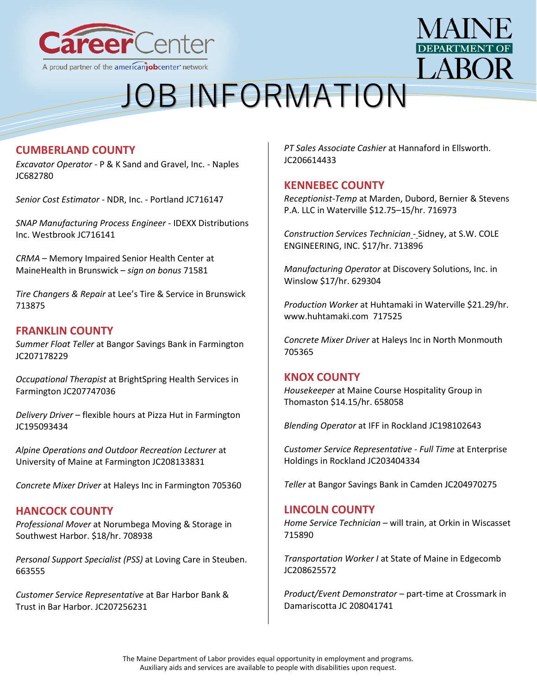

# $ARO$

# JOB INFORMATION

# **CUMBERLAND COUNTY**

*Excavator Operator* - [P & K Sand and Gravel, Inc. -](https://joblink.maine.gov/jobs/682780) Naples [JC682780](https://joblink.maine.gov/jobs/682780)

*[Senior Cost Estimator](https://joblink.maine.gov/jobs/716147)* - NDR, Inc. - Portland JC716147

*[SNAP Manufacturing Process Engineer](https://joblink.maine.gov/jobs/716141)* - IDEXX Distributions [Inc. Westbrook JC716141](https://joblink.maine.gov/jobs/716141)

*CRMA* – [Memory Impaired Senior Health Center](https://joblink.maine.gov/jobs/715851) at MaineHealth in Brunswick – *sign on bonus* 71581

*[Tire Changers & Repair](https://joblink.maine.gov/jobs/713875)* at Lee's Tire & Service in Brunswick 713875

### **FRANKLIN COUNTY**

*[Summer Float Teller](https://joblink.maine.gov/jobs/705801)* at Bangor Savings Bank in Farmington JC207178229

*[Occupational Therapist](https://joblink.maine.gov/jobs/709553)* at BrightSpring Health Services in Farmington JC207747036

*[Delivery Driver](https://joblink.maine.gov/jobs/624239)* – flexible hours at Pizza Hut in Farmington JC195093434

*[Alpine Operations and Outdoor Recreation Lecturer](https://joblink.maine.gov/jobs/712192)* at University of Maine at Farmington JC208133831

*[Concrete Mixer Driver](https://joblink.maine.gov/jobs/705360)* at [Haleys Inc](https://joblink.maine.gov/employers/20933) in Farmington 705360

## **HANCOCK COUNTY**

*[Professional Mover](https://joblink.maine.gov/jobs/708938)* at Norumbega Moving & Storage in Southwest Harbor. \$18/hr. 708938

*[Personal Support Specialist \(PSS\)](https://joblink.maine.gov/jobs/663555)* at Loving Care in Steuben. 663555

*[Customer Service Representative](https://joblink.maine.gov/jobs/706414)* at Bar Harbor Bank & Trust in Bar Harbor. JC207256231

*[PT Sales Associate Cashier](https://joblink.maine.gov/jobs/703281)* at Hannaford in Ellsworth. JC206614433

#### **KENNEBEC COUNTY**

*[Receptionist-Temp](https://gcc02.safelinks.protection.outlook.com/?url=https%3A%2F%2Fjoblink.maine.gov%2Fjobs%2F716973&data=04%7C01%7CDavid.M.Grima%40maine.gov%7Cf4e21bdaf61743871a2a08da13163d91%7C413fa8ab207d4b629bcdea1a8f2f864e%7C0%7C0%7C637843283502323820%7CUnknown%7CTWFpbGZsb3d8eyJWIjoiMC4wLjAwMDAiLCJQIjoiV2luMzIiLCJBTiI6Ik1haWwiLCJXVCI6Mn0%3D%7C3000&sdata=PI7RtcIFwNCfKtZP2fmVUZ2llM9dKtXFC%2BFpUftZ%2BvI%3D&reserved=0)* at [Marden, Dubord, Bernier & Stevens](https://gcc02.safelinks.protection.outlook.com/?url=https%3A%2F%2Fjoblink.maine.gov%2Femployers%2F21045&data=04%7C01%7CDavid.M.Grima%40maine.gov%7Cf4e21bdaf61743871a2a08da13163d91%7C413fa8ab207d4b629bcdea1a8f2f864e%7C0%7C0%7C637843283502323820%7CUnknown%7CTWFpbGZsb3d8eyJWIjoiMC4wLjAwMDAiLCJQIjoiV2luMzIiLCJBTiI6Ik1haWwiLCJXVCI6Mn0%3D%7C3000&sdata=Aj5RFGXDQNHSnO7XEnt2UHr%2BF5UxTCbpeftvsQOFfPY%3D&reserved=0)  [P.A.](https://gcc02.safelinks.protection.outlook.com/?url=https%3A%2F%2Fjoblink.maine.gov%2Femployers%2F21045&data=04%7C01%7CDavid.M.Grima%40maine.gov%7Cf4e21bdaf61743871a2a08da13163d91%7C413fa8ab207d4b629bcdea1a8f2f864e%7C0%7C0%7C637843283502323820%7CUnknown%7CTWFpbGZsb3d8eyJWIjoiMC4wLjAwMDAiLCJQIjoiV2luMzIiLCJBTiI6Ik1haWwiLCJXVCI6Mn0%3D%7C3000&sdata=Aj5RFGXDQNHSnO7XEnt2UHr%2BF5UxTCbpeftvsQOFfPY%3D&reserved=0) LLC in Waterville \$12.75–15/hr. 716973

*[Construction Services Technician](https://gcc02.safelinks.protection.outlook.com/?url=https%3A%2F%2Fjoblink.maine.gov%2Fjobs%2F713896&data=04%7C01%7CDavid.M.Grima%40maine.gov%7C0cfa985d0a8c4bd97edb08da1321b362%7C413fa8ab207d4b629bcdea1a8f2f864e%7C0%7C0%7C637843332699889830%7CUnknown%7CTWFpbGZsb3d8eyJWIjoiMC4wLjAwMDAiLCJQIjoiV2luMzIiLCJBTiI6Ik1haWwiLCJXVCI6Mn0%3D%7C3000&sdata=x2glAir7cWjqIXG74lrnI%2B6vQh9Zk3tMdIVpoBaoW2Y%3D&reserved=0)* - Sidney, at [S.W. COLE](https://gcc02.safelinks.protection.outlook.com/?url=https%3A%2F%2Fjoblink.maine.gov%2Femployers%2F13994&data=04%7C01%7CDavid.M.Grima%40maine.gov%7C0cfa985d0a8c4bd97edb08da1321b362%7C413fa8ab207d4b629bcdea1a8f2f864e%7C0%7C0%7C637843332699889830%7CUnknown%7CTWFpbGZsb3d8eyJWIjoiMC4wLjAwMDAiLCJQIjoiV2luMzIiLCJBTiI6Ik1haWwiLCJXVCI6Mn0%3D%7C3000&sdata=QPoxV0kmEZCK4eMg9BIDvu5nt2ftKfePJ8u5JyJgLAk%3D&reserved=0)  [ENGINEERING, INC.](https://gcc02.safelinks.protection.outlook.com/?url=https%3A%2F%2Fjoblink.maine.gov%2Femployers%2F13994&data=04%7C01%7CDavid.M.Grima%40maine.gov%7C0cfa985d0a8c4bd97edb08da1321b362%7C413fa8ab207d4b629bcdea1a8f2f864e%7C0%7C0%7C637843332699889830%7CUnknown%7CTWFpbGZsb3d8eyJWIjoiMC4wLjAwMDAiLCJQIjoiV2luMzIiLCJBTiI6Ik1haWwiLCJXVCI6Mn0%3D%7C3000&sdata=QPoxV0kmEZCK4eMg9BIDvu5nt2ftKfePJ8u5JyJgLAk%3D&reserved=0) \$17/hr. 713896

*[Manufacturing Operator](https://gcc02.safelinks.protection.outlook.com/?url=https%3A%2F%2Fjoblink.maine.gov%2Fjobs%2F629304&data=04%7C01%7CDavid.M.Grima%40maine.gov%7C0cfa985d0a8c4bd97edb08da1321b362%7C413fa8ab207d4b629bcdea1a8f2f864e%7C0%7C0%7C637843332699889830%7CUnknown%7CTWFpbGZsb3d8eyJWIjoiMC4wLjAwMDAiLCJQIjoiV2luMzIiLCJBTiI6Ik1haWwiLCJXVCI6Mn0%3D%7C3000&sdata=YEL8d0UC5gooyrBhfDIlEFVzywu0I8sX%2BCNPQvmKzZ0%3D&reserved=0)* at [Discovery Solutions, Inc.](https://gcc02.safelinks.protection.outlook.com/?url=https%3A%2F%2Fjoblink.maine.gov%2Femployers%2F11467&data=04%7C01%7CDavid.M.Grima%40maine.gov%7C0cfa985d0a8c4bd97edb08da1321b362%7C413fa8ab207d4b629bcdea1a8f2f864e%7C0%7C0%7C637843332699889830%7CUnknown%7CTWFpbGZsb3d8eyJWIjoiMC4wLjAwMDAiLCJQIjoiV2luMzIiLCJBTiI6Ik1haWwiLCJXVCI6Mn0%3D%7C3000&sdata=YqUk71YnJUIPKrmzwffJyJRfBDfNXpdqysCSCwZdac4%3D&reserved=0) in Winslow \$17/hr. 629304

*[Production Worker](https://gcc02.safelinks.protection.outlook.com/?url=https%3A%2F%2Fjoblink.maine.gov%2Fjobs%2F717525&data=04%7C01%7CDavid.M.Grima%40maine.gov%7C6bdc238a3ce6491acd5b08da132c6624%7C413fa8ab207d4b629bcdea1a8f2f864e%7C0%7C0%7C637843378656677395%7CUnknown%7CTWFpbGZsb3d8eyJWIjoiMC4wLjAwMDAiLCJQIjoiV2luMzIiLCJBTiI6Ik1haWwiLCJXVCI6Mn0%3D%7C3000&sdata=QkGbS7nx%2FVP5XhGYoQNLveID8Xnw0%2BDm4HPbLiQXNWU%3D&reserved=0)* at [Huhtamaki](https://gcc02.safelinks.protection.outlook.com/?url=https%3A%2F%2Fjoblink.maine.gov%2Femployers%2F20948&data=04%7C01%7CDavid.M.Grima%40maine.gov%7C6bdc238a3ce6491acd5b08da132c6624%7C413fa8ab207d4b629bcdea1a8f2f864e%7C0%7C0%7C637843378656677395%7CUnknown%7CTWFpbGZsb3d8eyJWIjoiMC4wLjAwMDAiLCJQIjoiV2luMzIiLCJBTiI6Ik1haWwiLCJXVCI6Mn0%3D%7C3000&sdata=vYGbQ%2F%2BinbaQertOgdDZvgIJ4SxcvScOsZZiQqTErrI%3D&reserved=0) in Waterville \$21.29/hr. [www.huhtamaki.com](http://www.huhtamaki.com/) 717525

*[Concrete Mixer Driver](https://joblink.maine.gov/jobs/705365)* at [Haleys Inc](https://joblink.maine.gov/employers/20933) in North Monmouth 705365

#### **KNOX COUNTY**

*[Housekeeper](https://joblink.maine.gov/jobs/658058)* at [Maine Course Hospitality Group](https://joblink.maine.gov/employers/10610) in Thomaston \$14.15/hr. 658058

*[Blending Operator](https://joblink.maine.gov/jobs/642668)* at [IFF](https://joblink.maine.gov/employers/20488) in Rockland JC198102643

*[Customer Service Representative -](https://joblink.maine.gov/jobs/678141) Full Time* at [Enterprise](https://joblink.maine.gov/employers/11117)  [Holdings](https://joblink.maine.gov/employers/11117) in Rockland JC203404334

*[Teller](https://joblink.maine.gov/jobs/689784)* at [Bangor Savings Bank](https://joblink.maine.gov/employers/18111) in Camden JC204970275

### **LINCOLN COUNTY**

*[Home Service Technician](https://joblink.maine.gov/jobs/715890)* – will train, at Orkin in Wiscasset 715890

*[Transportation Worker I](https://joblink.maine.gov/jobs/715303)* at State of Maine in Edgecomb JC208625572

*[Product/Event Demonstrator](https://joblink.maine.gov/jobs/711432)* – part-time at Crossmark in Damariscotta JC 208041741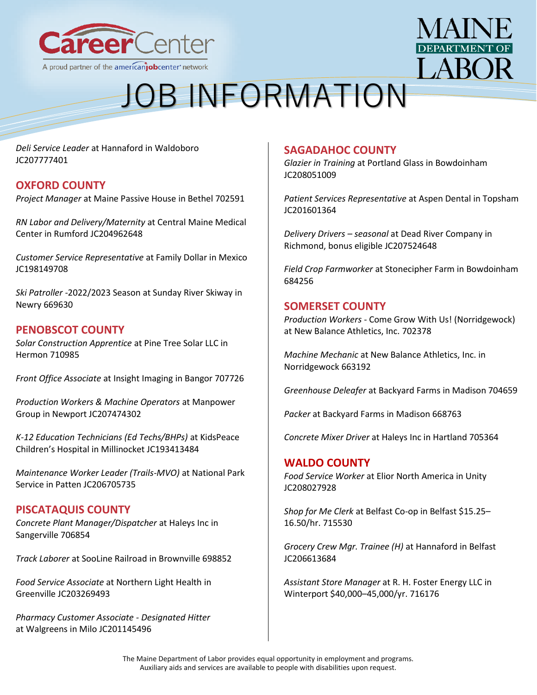



# JOB INFORMATION

*[Deli Service Leader](https://joblink.maine.gov/jobs/709589)* at Hannaford in Waldoboro JC207777401

## **OXFORD COUNTY**

*[Project Manager](https://joblink.maine.gov/jobs/702591)* at Maine Passive House in Bethel 702591

*[RN Labor and Delivery/Maternity](https://joblink.maine.gov/jobs/689240)* at Central Maine Medical Center in Rumford JC204962648

*[Customer Service Representative](https://joblink.maine.gov/jobs/644630)* at Family Dollar in Mexico JC198149708

*Ski Patroller* [-2022/2023 Season](https://joblink.maine.gov/jobs/669630) at Sunday River Skiway in Newry 669630

### **PENOBSCOT COUNTY**

*[Solar Construction Apprentice](https://joblink.maine.gov/jobs/710985)* at [Pine Tree Solar LLC](https://joblink.maine.gov/employers/20904) in Hermon 710985

*[Front Office Associate](https://joblink.maine.gov/jobs/707726)* at [Insight Imaging](https://joblink.maine.gov/employers/9022) in Bangor 707726

*[Production Workers & Machine Operators](https://joblink.maine.gov/jobs/707422)* at [Manpower](https://joblink.maine.gov/employers/11130)  [Group](https://joblink.maine.gov/employers/11130) in Newport JC207474302

*[K-12 Education Technicians \(Ed Techs/BHPs\)](https://joblink.maine.gov/jobs/611939)* at [KidsPeace](https://joblink.maine.gov/employers/15713)  [Children's Hospital](https://joblink.maine.gov/employers/15713) in Millinocket JC193413484

*[Maintenance Worker Leader \(Trails-MVO\)](https://joblink.maine.gov/jobs/702089)* at [National Park](https://joblink.maine.gov/employers/11703)  [Service](https://joblink.maine.gov/employers/11703) in Patten JC206705735

### **PISCATAQUIS COUNTY**

*[Concrete Plant Manager/Dispatcher](https://joblink.maine.gov/jobs/706854)* at [Haleys Inc](https://joblink.maine.gov/employers/20933) in Sangerville 706854

*[Track Laborer](https://joblink.maine.gov/jobs/698852)* at [SooLine Railroad](https://joblink.maine.gov/employers/20573) in Brownville 698852

*[Food Service Associate](https://joblink.maine.gov/jobs/677568)* at [Northern Light Health](https://joblink.maine.gov/employers/16387) in Greenville JC203269493

*[Pharmacy Customer Associate -](https://joblink.maine.gov/jobs/663442) Designated Hitter* at [Walgreens](https://joblink.maine.gov/employers/14719) in Milo JC201145496

### **SAGADAHOC COUNTY**

*[Glazier in Training](https://joblink.maine.gov/jobs/711491)* at Portland Glass in Bowdoinham JC208051009

*[Patient Services Representative](https://joblink.maine.gov/jobs/666176)* at Aspen Dental in Topsham JC201601364

*[Delivery Drivers](https://joblink.maine.gov/jobs/708742) – seasonal* at Dead River Company in Richmond, bonus eligible JC207524648

*[Field Crop Farmworker](https://joblink.maine.gov/jobs/684256)* at Stonecipher Farm in Bowdoinham 684256

### **SOMERSET COUNTY**

*Production Workers* - [Come Grow With Us! \(Norridgewoc](https://gcc02.safelinks.protection.outlook.com/?url=https%3A%2F%2Fjoblink.maine.gov%2Fjobs%2F702378&data=04%7C01%7CDavid.M.Grima%40maine.gov%7C3a378dcb43f04dea954308da132c7ee3%7C413fa8ab207d4b629bcdea1a8f2f864e%7C0%7C0%7C637843379073276616%7CUnknown%7CTWFpbGZsb3d8eyJWIjoiMC4wLjAwMDAiLCJQIjoiV2luMzIiLCJBTiI6Ik1haWwiLCJXVCI6Mn0%3D%7C3000&sdata=ew1nSk9QRSD1PCozxjkNkxCj2X2RQ1j3oVyruyWw0wI%3D&reserved=0)k) at [New Balance Athletics, Inc.](https://gcc02.safelinks.protection.outlook.com/?url=https%3A%2F%2Fjoblink.maine.gov%2Femployers%2F16793&data=04%7C01%7CDavid.M.Grima%40maine.gov%7C3a378dcb43f04dea954308da132c7ee3%7C413fa8ab207d4b629bcdea1a8f2f864e%7C0%7C0%7C637843379073276616%7CUnknown%7CTWFpbGZsb3d8eyJWIjoiMC4wLjAwMDAiLCJQIjoiV2luMzIiLCJBTiI6Ik1haWwiLCJXVCI6Mn0%3D%7C3000&sdata=x2%2BkTAgQPNzxiaVxeqG2kiKM0l6qyPUToI%2BY2aeQuGI%3D&reserved=0) 702378

*[Machine Mechanic](https://gcc02.safelinks.protection.outlook.com/?url=https%3A%2F%2Fjoblink.maine.gov%2Fjobs%2F663192&data=04%7C01%7CDavid.M.Grima%40maine.gov%7C3a378dcb43f04dea954308da132c7ee3%7C413fa8ab207d4b629bcdea1a8f2f864e%7C0%7C0%7C637843379073276616%7CUnknown%7CTWFpbGZsb3d8eyJWIjoiMC4wLjAwMDAiLCJQIjoiV2luMzIiLCJBTiI6Ik1haWwiLCJXVCI6Mn0%3D%7C3000&sdata=py5H1N49vv%2FXG9SkVWMVKCyPo5vDS71eOlunc9wNwPg%3D&reserved=0)* at [New Balance Athletics, Inc.](https://gcc02.safelinks.protection.outlook.com/?url=https%3A%2F%2Fjoblink.maine.gov%2Femployers%2F16793&data=04%7C01%7CDavid.M.Grima%40maine.gov%7C3a378dcb43f04dea954308da132c7ee3%7C413fa8ab207d4b629bcdea1a8f2f864e%7C0%7C0%7C637843379073276616%7CUnknown%7CTWFpbGZsb3d8eyJWIjoiMC4wLjAwMDAiLCJQIjoiV2luMzIiLCJBTiI6Ik1haWwiLCJXVCI6Mn0%3D%7C3000&sdata=x2%2BkTAgQPNzxiaVxeqG2kiKM0l6qyPUToI%2BY2aeQuGI%3D&reserved=0) in Norridgewock 663192

*[Greenhouse Deleafer](https://gcc02.safelinks.protection.outlook.com/?url=https%3A%2F%2Fjoblink.maine.gov%2Fjobs%2F704659&data=04%7C01%7CDavid.M.Grima%40maine.gov%7C3a378dcb43f04dea954308da132c7ee3%7C413fa8ab207d4b629bcdea1a8f2f864e%7C0%7C0%7C637843379073276616%7CUnknown%7CTWFpbGZsb3d8eyJWIjoiMC4wLjAwMDAiLCJQIjoiV2luMzIiLCJBTiI6Ik1haWwiLCJXVCI6Mn0%3D%7C3000&sdata=qWsQQZ%2F9npQz5ggV3R4c81EO%2BU54fAgdxjfPo%2Fa7VTk%3D&reserved=0)* at [Backyard Farms](https://gcc02.safelinks.protection.outlook.com/?url=https%3A%2F%2Fjoblink.maine.gov%2Femployers%2F16152&data=04%7C01%7CDavid.M.Grima%40maine.gov%7C3a378dcb43f04dea954308da132c7ee3%7C413fa8ab207d4b629bcdea1a8f2f864e%7C0%7C0%7C637843379073276616%7CUnknown%7CTWFpbGZsb3d8eyJWIjoiMC4wLjAwMDAiLCJQIjoiV2luMzIiLCJBTiI6Ik1haWwiLCJXVCI6Mn0%3D%7C3000&sdata=1QrkoXrr48tiRfLgsGow0uOSlcgn9LjC46ki2KTGWBs%3D&reserved=0) in Madison 704659

*[Packer](https://gcc02.safelinks.protection.outlook.com/?url=https%3A%2F%2Fjoblink.maine.gov%2Fjobs%2F668763&data=04%7C01%7CDavid.M.Grima%40maine.gov%7C3a378dcb43f04dea954308da132c7ee3%7C413fa8ab207d4b629bcdea1a8f2f864e%7C0%7C0%7C637843379073276616%7CUnknown%7CTWFpbGZsb3d8eyJWIjoiMC4wLjAwMDAiLCJQIjoiV2luMzIiLCJBTiI6Ik1haWwiLCJXVCI6Mn0%3D%7C3000&sdata=yjvZqUgNe1z5%2BGEMu7oJfRd%2Bp2kCo3DJXXFpPe2BvHM%3D&reserved=0)* at [Backyard Farms](https://gcc02.safelinks.protection.outlook.com/?url=https%3A%2F%2Fjoblink.maine.gov%2Femployers%2F16152&data=04%7C01%7CDavid.M.Grima%40maine.gov%7C3a378dcb43f04dea954308da132c7ee3%7C413fa8ab207d4b629bcdea1a8f2f864e%7C0%7C0%7C637843379073276616%7CUnknown%7CTWFpbGZsb3d8eyJWIjoiMC4wLjAwMDAiLCJQIjoiV2luMzIiLCJBTiI6Ik1haWwiLCJXVCI6Mn0%3D%7C3000&sdata=1QrkoXrr48tiRfLgsGow0uOSlcgn9LjC46ki2KTGWBs%3D&reserved=0) in Madison 668763

*[Concrete Mixer Driver](https://joblink.maine.gov/jobs/705364)* at [Haleys Inc](https://joblink.maine.gov/employers/20933) in Hartland 705364

#### **WALDO COUNTY**

*[Food Service Worker](https://joblink.maine.gov/jobs/710907)* at [Elior North America](https://joblink.maine.gov/employers/16468) in Unity JC208027928

*[Shop for Me Clerk](https://joblink.maine.gov/jobs/715530)* at [Belfast Co-op](https://joblink.maine.gov/employers/19395) in Belfast \$15.25– 16.50/hr. 715530

*[Grocery Crew Mgr. Trainee \(H\)](https://joblink.maine.gov/jobs/703200)* at [Hannaford](https://joblink.maine.gov/employers/18132) in Belfast JC206613684

*[Assistant Store Manager](https://joblink.maine.gov/jobs/716176)* at [R. H. Foster Energy LLC](https://joblink.maine.gov/employers/20422) in Winterport \$40,000–45,000/yr. 716176